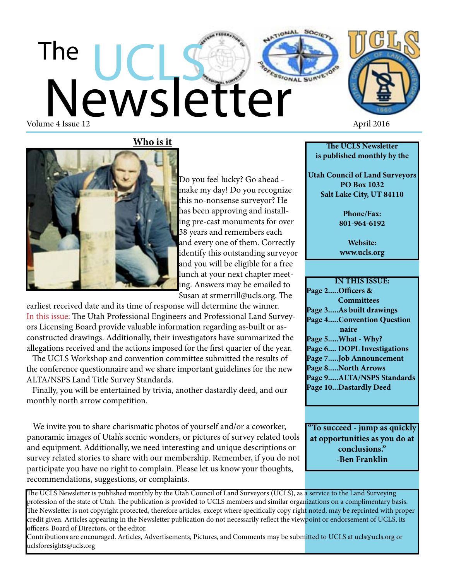## Newsletter The Volume 4 Issue 12 April 2016

**Who is it**



**The UCLS Newsletter is published monthly by the**

**Utah Council of Land Surveyors PO Box 1032 Salt Lake City, UT 84110**

> **Phone/Fax: 801-964-6192**

**Website: www.ucls.org**

**IN THIS ISSUE: Page 2.....Officers & Committees Page 3.....As built drawings Page 4.....Convention Question naire Page 5.....What - Why? Page 6.... DOPL Investigations Page 7.....Job Announcement Page 8.....North Arrows Page 9.....ALTA/NSPS Standards Page 10...Dastardly Deed**

**"To succeed - jump as quickly at opportunities as you do at conclusions." -Ben Franklin**

Do you feel lucky? Go ahead make my day! Do you recognize this no-nonsense surveyor? He has been approving and installing pre-cast monuments for over 38 years and remembers each and every one of them. Correctly identify this outstanding surveyor and you will be eligible for a free lunch at your next chapter meeting. Answers may be emailed to Susan at srmerrill@ucls.org. The

earliest received date and its time of response will determine the winner. In this issue: The Utah Professional Engineers and Professional Land Surveyors Licensing Board provide valuable information regarding as-built or asconstructed drawings. Additionally, their investigators have summarized the allegations received and the actions imposed for the first quarter of the year.

 The UCLS Workshop and convention committee submitted the results of the conference questionnaire and we share important guidelines for the new ALTA/NSPS Land Title Survey Standards.

 Finally, you will be entertained by trivia, another dastardly deed, and our monthly north arrow competition.

 We invite you to share charismatic photos of yourself and/or a coworker, panoramic images of Utah's scenic wonders, or pictures of survey related tools and equipment. Additionally, we need interesting and unique descriptions or survey related stories to share with our membership. Remember, if you do not participate you have no right to complain. Please let us know your thoughts, recommendations, suggestions, or complaints.

The UCLS Newsletter is published monthly by the Utah Council of Land Surveyors (UCLS), as a service to the Land Surveying profession of the state of Utah. The publication is provided to UCLS members and similar organizations on a complimentary basis. The Newsletter is not copyright protected, therefore articles, except where specifically copy right noted, may be reprinted with proper credit given. Articles appearing in the Newsletter publication do not necessarily reflect the viewpoint or endorsement of UCLS, its officers, Board of Directors, or the editor.

Contributions are encouraged. Articles, Advertisements, Pictures, and Comments may be submitted to UCLS at ucls@ucls.org or uclsforesights@ucls.org

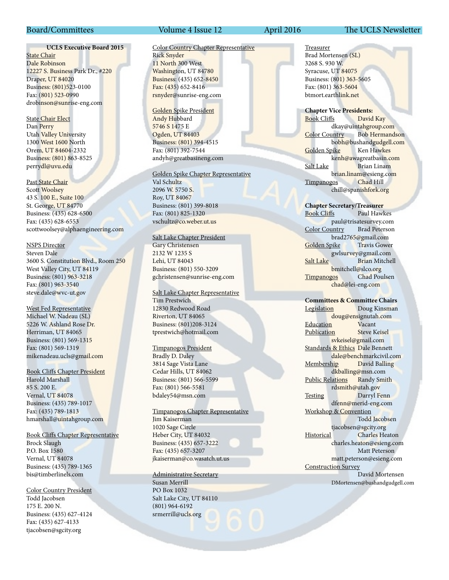#### **UCLS Executive Board 2015**

**State Chair** Dale Robinson 12227 S. Business Park Dr., #220 Draper, UT 84020 Business: (801)523-0100 Fax: (801) 523-0990 drobinson@sunrise-eng.com

State Chair Elect Dan Perry Utah Valley University 1300 West 1600 North Orem, UT 84604-2332 Business: (801) 863-8525 perrydl@uvu.edu

Past State Chair Scott Woolsey 43 S. 100 E., Suite 100 St. George, UT 84770 Business: (435) 628-6500 Fax: (435) 628-6553 scottwoolsey@alphaengineering.com

#### NSPS Director

Steven Dale 3600 S. Constitution Blvd., Room 250 West Valley City, UT 84119 Business: (801) 963-3218 Fax: (801) 963-3540 steve.dale@wvc-ut.gov

West Fed Representative Michael W. Nadeau (SL) 5226 W. Ashland Rose Dr. Herriman, UT 84065 Business: (801) 569-1315 Fax: (801) 569-1319 mikenadeau.ucls@gmail.com

Book Cliffs Chapter President Harold Marshall

85 S. 200 E. Vernal, UT 84078 Business: (435) 789-1017 Fax: (435) 789-1813 hmarshall@uintahgroup.com

Book Cliffs Chapter Representative Brock Slaugh P.O. Box 1580 Vernal, UT 84078 Business: (435) 789-1365 bis@timberlinels.com

Color Country President Todd Jacobsen 175 E. 200 N. Business: (435) 627-4124 Fax: (435) 627-4133 tjacobsen@sgcity.org

#### Board/Committees Volume 4 Issue 12 April 2016 The UCLS Newsletter

Color Country Chapter Representative Rick Snyder 11 North 300 West Washington, UT 84780 Business: (435) 652-8450 Fax: (435) 652-8416 rsnyder@sunrise-eng.com

Golden Spike President Andy Hubbard 5746 S 1475 E Ogden, UT 84403 Business: (801) 394-4515 Fax: (801) 392-7544 andyh@greatbasineng.com

#### Golden Spike Chapter Representative

Val Schultz 2096 W. 5750 S. Roy, UT 84067 Business: (801) 399-8018 Fax: (801) 825-1320 vschultz@co.weber.ut.us

#### Salt Lake Chapter President

Gary Christensen 2132 W 1235 S Lehi, UT 84043 Business: (801) 550-3209 gchristensen@sunrise-eng.com

Salt Lake Chapter Representative Tim Prestwich 12830 Redwood Road Riverton, UT 84065 Business: (801)208-3124 tprestwich@hotmail.com

#### Timpanogos President

Bradly D. Daley 3814 Sage Vista Lane Cedar Hills, UT 84062 Business: (801) 566-5599 Fax: (801) 566-5581 bdaley54@msn.com

#### Timpanogos Chapter Representative Jim Kaiserman

1020 Sage Circle Heber City, UT 84032 Business: (435) 657-3222 Fax: (435) 657-3207 jkaiserman@co.wasatch.ut.us

#### Administrative Secretary

Susan Merrill PO Box 1032 Salt Lake City, UT 84110 (801) 964-6192 srmerrill@ucls.org

Treasurer Brad Mortensen (SL) 3268 S. 930 W. Syracuse, UT 84075 Business: (801) 363-5605 Fax: (801) 363-5604 btmort.earthlink.net

**Chapter Vice Presidents:** Book Cliffs David Kay dkay@uintahgroup.com Color Country Bob Hermandson bobh@bushandgudgell.com Golden Spike Ken Hawkes kenh@awagreatbasin.com Salt Lake Brian Linam brian.linam@esieng.com Timpanogos Chad Hill chill@spanishfork.org

**Chapter Secretary/Treasurer** Paul Hawkes paul@trisatesurvey.com Color Country Brad Peterson brad2765@gmail.com<br>
bike Travis Gower Golden Spike gwlsurvey@gmail.com Salt Lake Brian Mitchell bmitchell@slco.org Timpanogos Chad Poulsen chad@lei-eng.com

#### **Committees & Committee Chairs**

Legislation Doug Kinsman doug@ensignutah.com Education Vacant Publication Steve Keisel svkeisel@gmail.com Standards & Ethics Dale Bennett dale@benchmarkcivil.com Membership David Balling dkballing@msn.com Public Relations Randy Smith rdsmith@utah.gov Testing Darryl Fenn dfenn@merid-eng.com Workshop & Convention Todd Jacobsen tjacobsen@sgcity.org Historical Charles Heaton charles.heaton@esieng.com Matt Peterson matt.peterson@esieng.com Construction Survey David Mortensen DMortensen@bushandgudgell.com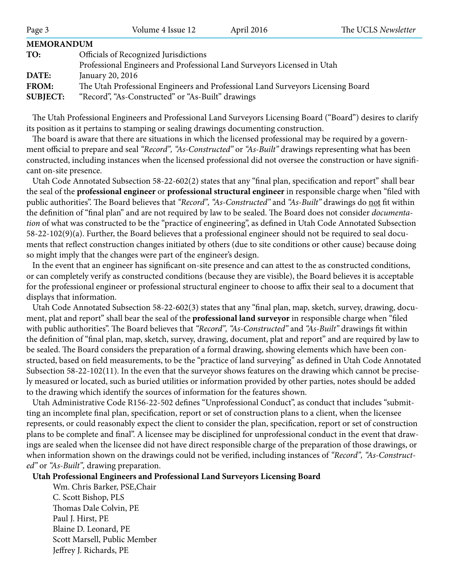| Page 3                                   | Volume 4 Issue 12                                                                                                                                        | April 2016 | The UCLS Newsletter |
|------------------------------------------|----------------------------------------------------------------------------------------------------------------------------------------------------------|------------|---------------------|
| <b>MEMORANDUM</b>                        |                                                                                                                                                          |            |                     |
| TO:                                      | Officials of Recognized Jurisdictions<br>Professional Engineers and Professional Land Surveyors Licensed in Utah                                         |            |                     |
| DATE:<br><b>FROM:</b><br><b>SUBJECT:</b> | January 20, 2016<br>The Utah Professional Engineers and Professional Land Surveyors Licensing Board<br>"Record", "As-Constructed" or "As-Built" drawings |            |                     |

 The Utah Professional Engineers and Professional Land Surveyors Licensing Board ("Board") desires to clarify its position as it pertains to stamping or sealing drawings documenting construction.

 The board is aware that there are situations in which the licensed professional may be required by a government official to prepare and seal *"Record", "As-Constructed"* or *"As-Built"* drawings representing what has been constructed, including instances when the licensed professional did not oversee the construction or have significant on-site presence.

 Utah Code Annotated Subsection 58-22-602(2) states that any "final plan, specification and report" shall bear the seal of the **professional engineer** or **professional structural engineer** in responsible charge when "filed with public authorities". The Board believes that *"Record", "As-Constructed"* and *"As-Built"* drawings do not fit within the definition of "final plan" and are not required by law to be sealed. The Board does not consider *documentation* of what was constructed to be the "practice of engineering", as defined in Utah Code Annotated Subsection 58-22-102(9)(a). Further, the Board believes that a professional engineer should not be required to seal documents that reflect construction changes initiated by others (due to site conditions or other cause) because doing so might imply that the changes were part of the engineer's design.

 In the event that an engineer has significant on-site presence and can attest to the as constructed conditions, or can completely verify as constructed conditions (because they are visible), the Board believes it is acceptable for the professional engineer or professional structural engineer to choose to affix their seal to a document that displays that information.

 Utah Code Annotated Subsection 58-22-602(3) states that any "final plan, map, sketch, survey, drawing, document, plat and report" shall bear the seal of the **professional land surveyor** in responsible charge when "filed with public authorities". The Board believes that *"Record", "As-Constructed"* and *"As-Built"* drawings fit within the definition of "final plan, map, sketch, survey, drawing, document, plat and report" and are required by law to be sealed. The Board considers the preparation of a formal drawing, showing elements which have been constructed, based on field measurements, to be the "practice of land surveying" as defined in Utah Code Annotated Subsection 58-22-102(11). In the even that the surveyor shows features on the drawing which cannot be precisely measured or located, such as buried utilities or information provided by other parties, notes should be added to the drawing which identify the sources of information for the features shown.

 Utah Administrative Code R156-22-502 defines "Unprofessional Conduct", as conduct that includes "submitting an incomplete final plan, specification, report or set of construction plans to a client, when the licensee represents, or could reasonably expect the client to consider the plan, specification, report or set of construction plans to be complete and final". A licensee may be disciplined for unprofessional conduct in the event that drawings are sealed when the licensee did not have direct responsible charge of the preparation of those drawings, or when information shown on the drawings could not be verified, including instances of *"Record", "As-Constructed"* or *"As-Built",* drawing preparation.

#### **Utah Professional Engineers and Professional Land Surveyors Licensing Board**

Wm. Chris Barker, PSE,Chair C. Scott Bishop, PLS Thomas Dale Colvin, PE Paul J. Hirst, PE Blaine D. Leonard, PE Scott Marsell, Public Member Jeffrey J. Richards, PE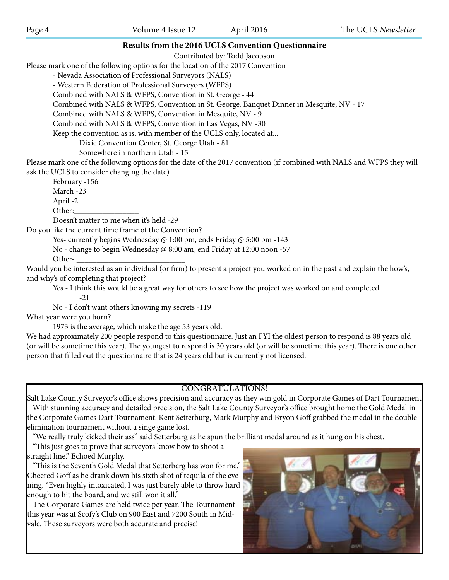#### **Results from the 2016 UCLS Convention Questionnaire**

Contributed by: Todd Jacobson

Please mark one of the following options for the location of the 2017 Convention

- Nevada Association of Professional Surveyors (NALS)

- Western Federation of Professional Surveyors (WFPS)

Combined with NALS & WFPS, Convention in St. George - 44

Combined with NALS & WFPS, Convention in St. George, Banquet Dinner in Mesquite, NV - 17

Combined with NALS & WFPS, Convention in Mesquite, NV - 9

Combined with NALS & WFPS, Convention in Las Vegas, NV -30

Keep the convention as is, with member of the UCLS only, located at...

Dixie Convention Center, St. George Utah - 81

Somewhere in northern Utah - 15

Please mark one of the following options for the date of the 2017 convention (if combined with NALS and WFPS they will ask the UCLS to consider changing the date)

February -156 March -23 April -2 Other:\_\_\_\_\_\_\_\_\_\_\_\_\_\_\_\_

Doesn't matter to me when it's held -29

Do you like the current time frame of the Convention?

Yes- currently begins Wednesday @ 1:00 pm, ends Friday @ 5:00 pm -143

No - change to begin Wednesday @ 8:00 am, end Friday at 12:00 noon -57

Other-

Would you be interested as an individual (or firm) to present a project you worked on in the past and explain the how's, and why's of completing that project?

Yes - I think this would be a great way for others to see how the project was worked on and completed -21

No - I don't want others knowing my secrets -119

What year were you born?

1973 is the average, which make the age 53 years old.

We had approximately 200 people respond to this questionnaire. Just an FYI the oldest person to respond is 88 years old (or will be sometime this year). The youngest to respond is 30 years old (or will be sometime this year). There is one other person that filled out the questionnaire that is 24 years old but is currently not licensed.

#### CONGRATULATIONS!

Salt Lake County Surveyor's office shows precision and accuracy as they win gold in Corporate Games of Dart Tournament With stunning accuracy and detailed precision, the Salt Lake County Surveyor's office brought home the Gold Medal in the Corporate Games Dart Tournament. Kent Setterburg, Mark Murphy and Bryon Goff grabbed the medal in the double elimination tournament without a singe game lost.

"We really truly kicked their ass" said Setterburg as he spun the brilliant medal around as it hung on his chest.

 "This just goes to prove that surveyors know how to shoot a straight line." Echoed Murphy.

 "This is the Seventh Gold Medal that Setterberg has won for me." Cheered Goff as he drank down his sixth shot of tequila of the evening. "Even highly intoxicated, I was just barely able to throw hard enough to hit the board, and we still won it all."

 The Corporate Games are held twice per year. The Tournament this year was at Scofy's Club on 900 East and 7200 South in Midvale. These surveyors were both accurate and precise!

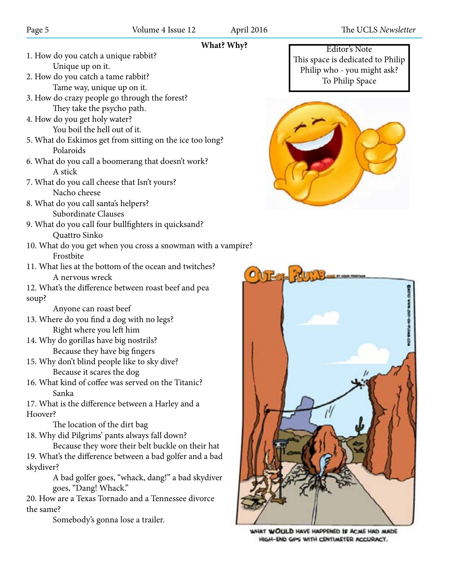#### **What? Why?**

- 1. How do you catch a unique rabbit? Unique up on it.
- 2. How do you catch a tame rabbit? Tame way, unique up on it.
- 3. How do crazy people go through the forest? They take the psycho path.
- 4. How do you get holy water? You boil the hell out of it.
- 5. What do Eskimos get from sitting on the ice too long? Polaroids
- 6. What do you call a boomerang that doesn't work? A stick
- 7. What do you call cheese that Isn't yours? Nacho cheese
- 8. What do you call santa's helpers? Subordinate Clauses
- 9. What do you call four bullfighters in quicksand? Quattro Sinko
- 10. What do you get when you cross a snowman with a vampire? Frostbite
- 11. What lies at the bottom of the ocean and twitches? A nervous wreck

12. What's the difference between roast beef and pea soup?

Anyone can roast beef

- 13. Where do you find a dog with no legs? Right where you left him
- 14. Why do gorillas have big nostrils? Because they have big fingers
- 15. Why don't blind people like to sky dive? Because it scares the dog
- 16. What kind of coffee was served on the Titanic? Sanka

17. What is the difference between a Harley and a Hoover?

The location of the dirt bag

18. Why did Pilgrims' pants always fall down?

Because they wore their belt buckle on their hat 19. What's the difference between a bad golfer and a bad skydiver?

> A bad golfer goes, "whack, dang!" a bad skydiver goes, "Dang! Whack."

20. How are a Texas Tornado and a Tennessee divorce the same?

Somebody's gonna lose a trailer.

Editor's Note This space is dedicated to Philip Philip who - you might ask? To Philip Space





WHAT WOULD HAVE HAPPENED IF ACME HAD MADE HIGH-END GPS WITH CENTIMETER ACCURACY.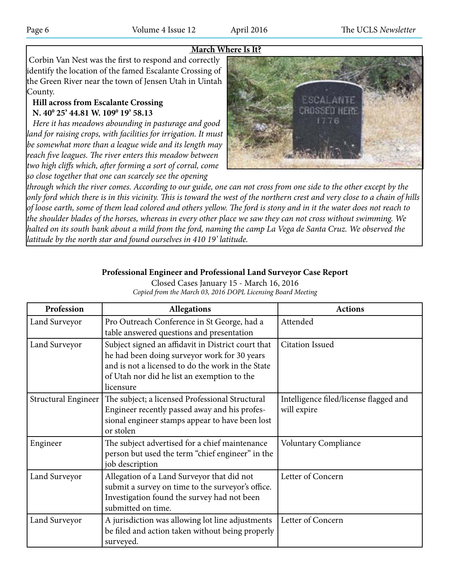#### **March Where Is It?**

 Corbin Van Nest was the first to respond and correctly identify the location of the famed Escalante Crossing of the Green River near the town of Jensen Utah in Uintah County.

#### **Hill across from Escalante Crossing N. 40<sup>0</sup> 25' 44.81 W. 109<sup>0</sup> 19' 58.13**

 *Here it has meadows abounding in pasturage and good*  land for raising crops, with facilities for irrigation. It must *be somewhat more than a league wide and its length may reach five leagues. The river enters this meadow between two high cliffs which, after forming a sort of corral, come so close together that one can scarcely see the opening* 



*through which the river comes. According to our guide, one can not cross from one side to the other except by the only ford which there is in this vicinity. This is toward the west of the northern crest and very close to a chain of hills of loose earth, some of them lead colored and others yellow. The ford is stony and in it the water does not reach to the shoulder blades of the horses, whereas in every other place we saw they can not cross without swimming. We halted on its south bank about a mild from the ford, naming the camp La Vega de Santa Cruz. We observed the latitude by the north star and found ourselves in 410 19' latitude.*

#### **Professional Engineer and Professional Land Surveyor Case Report**

Closed Cases January 15 - March 16, 2016 *Copied from the March 03, 2016 DOPL Licensing Board Meeting*

| Profession          | <b>Allegations</b>                                                                                                                                                                                                  | <b>Actions</b>                                        |
|---------------------|---------------------------------------------------------------------------------------------------------------------------------------------------------------------------------------------------------------------|-------------------------------------------------------|
| Land Surveyor       | Pro Outreach Conference in St George, had a<br>table answered questions and presentation                                                                                                                            | Attended                                              |
| Land Surveyor       | Subject signed an affidavit in District court that<br>he had been doing surveyor work for 30 years<br>and is not a licensed to do the work in the State<br>of Utah nor did he list an exemption to the<br>licensure | <b>Citation Issued</b>                                |
| Structural Engineer | The subject; a licensed Professional Structural<br>Engineer recently passed away and his profes-<br>sional engineer stamps appear to have been lost<br>or stolen                                                    | Intelligence filed/license flagged and<br>will expire |
| Engineer            | The subject advertised for a chief maintenance<br>person but used the term "chief engineer" in the<br>job description                                                                                               | <b>Voluntary Compliance</b>                           |
| Land Surveyor       | Allegation of a Land Surveyor that did not<br>submit a survey on time to the surveyor's office.<br>Investigation found the survey had not been<br>submitted on time.                                                | Letter of Concern                                     |
| Land Surveyor       | A jurisdiction was allowing lot line adjustments<br>be filed and action taken without being properly<br>surveyed.                                                                                                   | Letter of Concern                                     |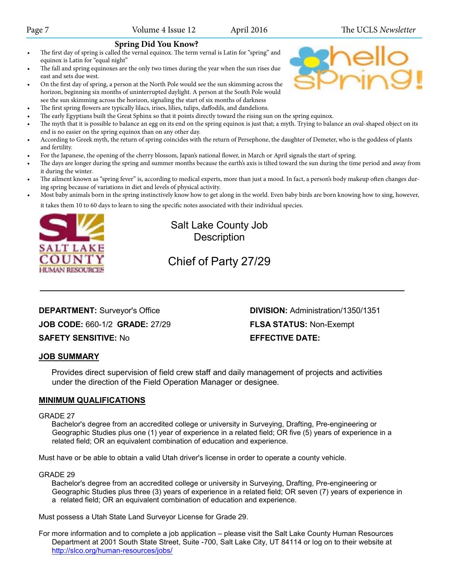#### **Spring Did You Know?**

- The first day of spring is called the vernal equinox. The term vernal is Latin for "spring" and equinox is Latin for "equal night"
- The fall and spring equinoxes are the only two times during the year when the sun rises due east and sets due west.
- On the first day of spring, a person at the North Pole would see the sun skimming across the horizon, beginning six months of uninterrupted daylight. A person at the South Pole would see the sun skimming across the horizon, signaling the start of six months of darkness
- The first spring flowers are typically lilacs, irises, lilies, tulips, daffodils, and dandelions.
- The early Egyptians built the Great Sphinx so that it points directly toward the rising sun on the spring equinox.
- The myth that it is possible to balance an egg on its end on the spring equinox is just that; a myth. Trying to balance an oval-shaped object on its end is no easier on the spring equinox than on any other day.
- According to Greek myth, the return of spring coincides with the return of Persephone, the daughter of Demeter, who is the goddess of plants and fertility.
- For the Japanese, the opening of the cherry blossom, Japan's national flower, in March or April signals the start of spring.
- The days are longer during the spring and summer months because the earth's axis is tilted toward the sun during the time period and away from it during the winter.
- The ailment known as "spring fever" is, according to medical experts, more than just a mood. In fact, a person's body makeup often changes during spring because of variations in diet and levels of physical activity.
- Most baby animals born in the spring instinctively know how to get along in the world. Even baby birds are born knowing how to sing, however,

it takes them 10 to 60 days to learn to sing the specific notes associated with their individual species.



### Salt Lake County Job **Description**

## Chief of Party 27/29

#### **DEPARTMENT:** Surveyor's Office **DIVISION:** Administration/1350/1351 **JOB CODE:** 660-1/2 **GRADE:** 27/29 **FLSA STATUS:** Non-Exempt **SAFETY SENSITIVE:** No **EFFECTIVE DATE:**

#### **JOB SUMMARY**

Provides direct supervision of field crew staff and daily management of projects and activities under the direction of the Field Operation Manager or designee.

#### **MINIMUM QUALIFICATIONS**

#### GRADE 27

Bachelor's degree from an accredited college or university in Surveying, Drafting, Pre-engineering or Geographic Studies plus one (1) year of experience in a related field; OR five (5) years of experience in a related field; OR an equivalent combination of education and experience.

Must have or be able to obtain a valid Utah driver's license in order to operate a county vehicle.

#### GRADE 29

Bachelor's degree from an accredited college or university in Surveying, Drafting, Pre-engineering or Geographic Studies plus three (3) years of experience in a related field; OR seven (7) years of experience in a related field; OR an equivalent combination of education and experience.

Must possess a Utah State Land Surveyor License for Grade 29.

For more information and to complete a job application – please visit the Salt Lake County Human Resources Department at 2001 South State Street, Suite -700, Salt Lake City, UT 84114 or log on to their website at http://slco.org/human-resources/jobs/

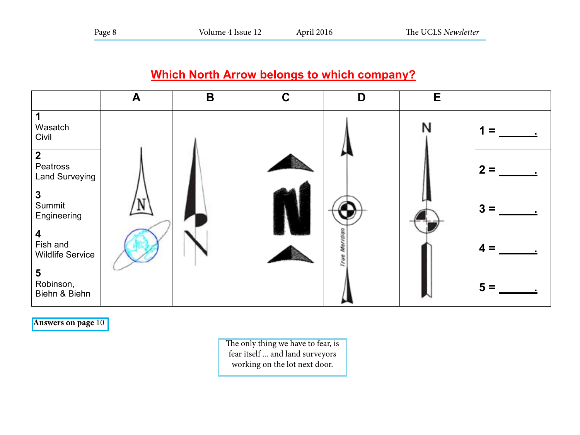## **Which North Arrow belongs to which company?**

|                                                     | A | B | $\mathbf C$ | D | E |                  |
|-----------------------------------------------------|---|---|-------------|---|---|------------------|
| Wasatch<br>Civil                                    |   |   |             |   | N |                  |
| $\overline{2}$<br>Peatross<br><b>Land Surveying</b> |   |   |             |   |   | $\boldsymbol{2}$ |
| $\mathbf{3}$<br>Summit<br>Engineering               |   |   |             |   |   | 3                |
| Fish and<br><b>Wildlife Service</b>                 |   |   |             |   |   | 4                |
| $5\phantom{1}$<br>Robinson,<br>Biehn & Biehn        |   |   |             |   |   | $5 =$            |

**Answers on page** 10

Answers to North Arrow Question 1=C; 2=B; 3=E, 4=D, 5=A The only thing we have to fear, is fear itself ... and land surveyors working on the lot next door.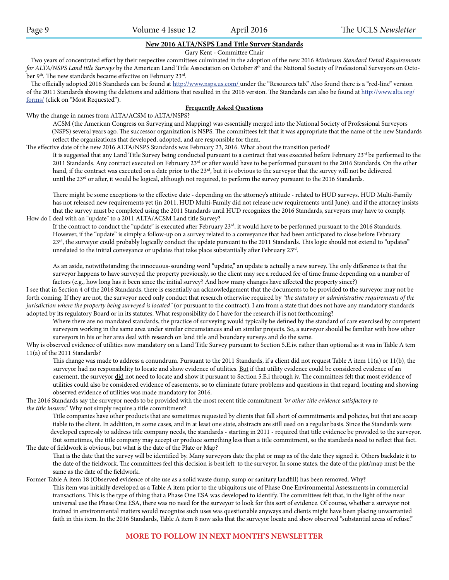#### **New 2016 ALTA/NSPS Land Title Survey Standards**

Gary Kent - Committee Chair

 Two years of concentrated effort by their respective committees culminated in the adoption of the new 2016 *Minimum Standard Detail Requirements for ALTA/NSPS Land title Surveys* by the American Land Title Association on October 8<sup>th</sup> and the National Society of Professional Surveyors on October 9<sup>th</sup>. The new standards became effective on February 23<sup>rd</sup>.

The officially adopted 2016 Standards can be found at http://www.nsps.us.com/ under the "Resources tab." Also found there is a "red-line" version of the 2011 Standards showing the deletions and additions that resulted in the 2016 version. The Standards can also be found at http://www.alta.org/ forms/ (click on "Most Requested").

#### **Frequently Asked Questions**

Why the change in names from ALTA/ACSM to ALTA/NSPS?

ACSM (the American Congress on Surveying and Mapping) was essentially merged into the National Society of Professional Surveyors (NSPS) several years ago. The successor organization is NSPS. The committees felt that it was appropriate that the name of the new Standards reflect the organizations that developed, adopted, and are responsible for them.

The effective date of the new 2016 ALTA/NSPS Standards was February 23, 2016. What about the transition period?

It is suggested that any Land Title Survey being conducted pursuant to a contract that was executed before February 23rd be performed to the 2011 Standards. Any contract executed on February 23<sup>rd</sup> or after would have to be performed pursuant to the 2016 Standards. On the other hand, if the contract was executed on a date prior to the 23<sup>rd</sup>, but it is obvious to the surveyor that the survey will not be delivered until the 23<sup>rd</sup> or after, it would be logical, although not required, to perform the survey pursuant to the 2016 Standards.

There might be some exceptions to the effective date - depending on the attorney's attitude - related to HUD surveys. HUD Multi-Family has not released new requirements yet (in 2011, HUD Multi-Family did not release new requirements until June), and if the attorney insists that the survey must be completed using the 2011 Standards until HUD recognizes the 2016 Standards, surveyors may have to comply. How do I deal with an "update" to a 2011 ALTA/ACSM Land title Survey?

If the contract to conduct the "update" is executed after February 23rd, it would have to be performed pursuant to the 2016 Standards. However, if the "update" is simply a follow-up on a survey related to a conveyance that had been anticipated to close before February 23<sup>rd</sup>, the surveyor could probably logically conduct the update pursuant to the 2011 Standards. This logic should not extend to "updates" unrelated to the initial conveyance or updates that take place substantially after February 23rd.

As an aside, notwithstanding the innocuous-sounding word "update," an update is actually a new survey. The only difference is that the surveyor happens to have surveyed the property previously, so the client may see a reduced fee of time frame depending on a number of factors (e.g., how long has it been since the initial survey? And how many changes have affected the property since?)

I see that in Section 4 of the 2016 Standards, there is essentially an acknowledgement that the documents to be provided to the surveyor may not be forth coming. If they are not, the surveyor need only conduct that research otherwise required by *"the statutory or administrative requirements of the jurisdiction where the property being surveyed is located"* (or pursuant to the contract). I am from a state that does not have any mandatory standards adopted by its regulatory Board or in its statutes. What responsibility do I have for the research if is not forthcoming?

Where there are no mandated standards, the practice of surveying would typically be defined by the standard of care exercised by competent surveyors working in the same area under similar circumstances and on similar projects. So, a surveyor should be familiar with how other surveyors in his or her area deal with research on land title and boundary surveys and do the same.

Why is observed evidence of utilities now mandatory on a Land Title Survey pursuant to Section 5.E.iv. rather than optional as it was in Table A tem 11(a) of the 2011 Standards?

This change was made to address a conundrum. Pursuant to the 2011 Standards, if a client did not request Table A item 11(a) or 11(b), the surveyor had no responsibility to locate and show evidence of utilities. But if that utility evidence could be considered evidence of an easement, the surveyor did not need to locate and show it pursuant to Section 5.E.i through iv. The committees felt that most evidence of utilities could also be considered evidence of easements, so to eliminate future problems and questions in that regard, locating and showing observed evidence of utilities was made mandatory for 2016.

The 2016 Standards say the surveyor needs to be provided with the most recent title commitment *"or other title evidence satisfactory to the title insurer."* Why not simply require a title commitment?

Title companies have other products that are sometimes requested by clients that fall short of commitments and policies, but that are accep tiable to the client. In addition, in some cases, and in at least one state, abstracts are still used on a regular basis. Since the Standards were developed expressly to address title company needs, the standards - starting in 2011 - required that title evidence be provided to the surveyor. But sometimes, the title company may accept or produce something less than a title commitment, so the standards need to reflect that fact. The date of fieldwork is obvious, but what is the date of the Plate or Map?

That is the date that the survey will be identified by. Many surveyors date the plat or map as of the date they signed it. Others backdate it to the date of the fieldwork. The committees feel this decision is best left to the surveyor. In some states, the date of the plat/map must be the same as the date of the fieldwork.

Former Table A item 18 (Observed evidence of site use as a solid waste dump, sump or sanitary landfill) has been removed. Why? This item was initially developed as a Table A item prior to the ubiquitous use of Phase One Environmental Assessments in commercial transactions. This is the type of thing that a Phase One ESA was developed to identify. The committees felt that, in the light of the near universal use the Phase One ESA, there was no need for the surveyor to look for this sort of evidence. Of course, whether a surveyor not trained in environmental matters would recognize such uses was questionable anyways and clients might have been placing unwarranted faith in this item. In the 2016 Standards, Table A item 8 now asks that the surveyor locate and show observed "substantial areas of refuse."

#### **MORE TO FOLLOW IN NEXT MONTH'S NEWSLETTER**